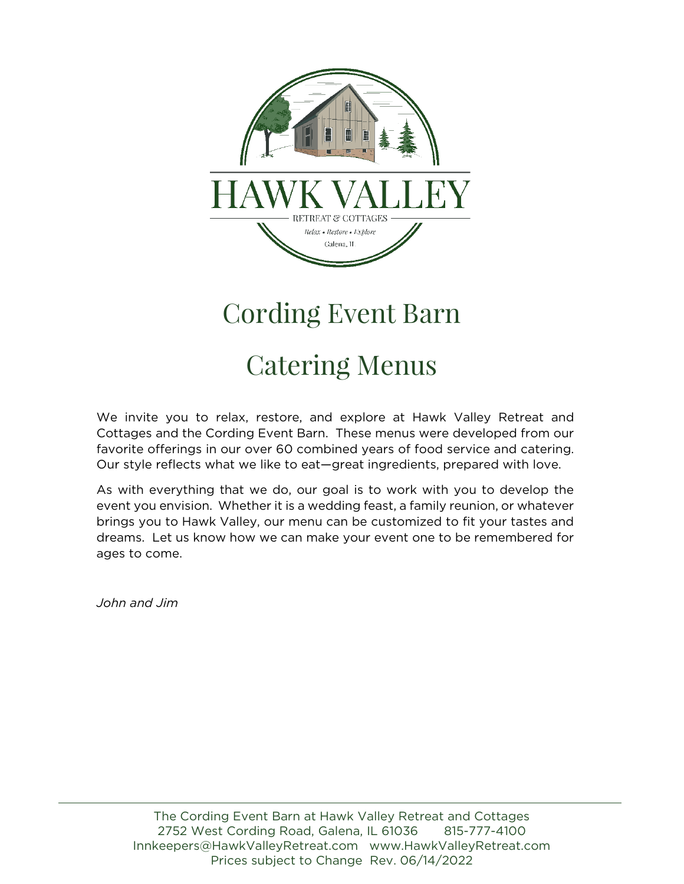

# Cording Event Barn

## Catering Menus

We invite you to relax, restore, and explore at Hawk Valley Retreat and Cottages and the Cording Event Barn. These menus were developed from our favorite offerings in our over 60 combined years of food service and catering. Our style reflects what we like to eat—great ingredients, prepared with love.

As with everything that we do, our goal is to work with you to develop the event you envision. Whether it is a wedding feast, a family reunion, or whatever brings you to Hawk Valley, our menu can be customized to fit your tastes and dreams. Let us know how we can make your event one to be remembered for ages to come.

*John and Jim*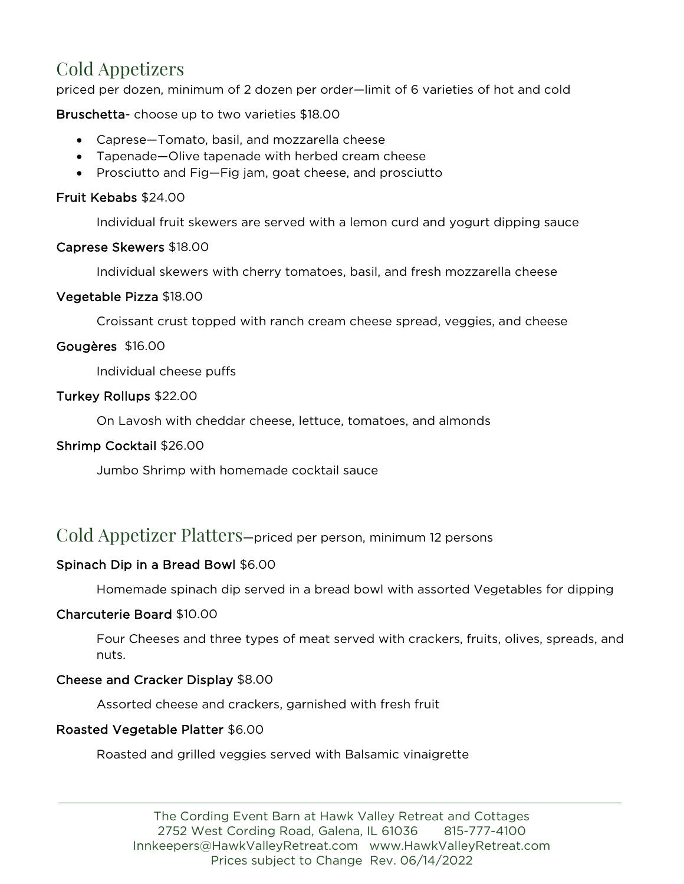## Cold Appetizers

priced per dozen, minimum of 2 dozen per order—limit of 6 varieties of hot and cold

Bruschetta- choose up to two varieties \$18.00

- Caprese—Tomato, basil, and mozzarella cheese
- Tapenade—Olive tapenade with herbed cream cheese
- Prosciutto and Fig—Fig jam, goat cheese, and prosciutto

#### Fruit Kebabs \$24.00

Individual fruit skewers are served with a lemon curd and yogurt dipping sauce

#### Caprese Skewers \$18.00

Individual skewers with cherry tomatoes, basil, and fresh mozzarella cheese

#### Vegetable Pizza \$18.00

Croissant crust topped with ranch cream cheese spread, veggies, and cheese

#### Gougères \$16.00

Individual cheese puffs

#### Turkey Rollups \$22.00

On Lavosh with cheddar cheese, lettuce, tomatoes, and almonds

#### Shrimp Cocktail \$26.00

Jumbo Shrimp with homemade cocktail sauce

### Cold Appetizer Platters—priced per person, minimum 12 persons

#### Spinach Dip in a Bread Bowl \$6.00

Homemade spinach dip served in a bread bowl with assorted Vegetables for dipping

#### Charcuterie Board \$10.00

Four Cheeses and three types of meat served with crackers, fruits, olives, spreads, and nuts.

#### Cheese and Cracker Display \$8.00

Assorted cheese and crackers, garnished with fresh fruit

#### Roasted Vegetable Platter \$6.00

Roasted and grilled veggies served with Balsamic vinaigrette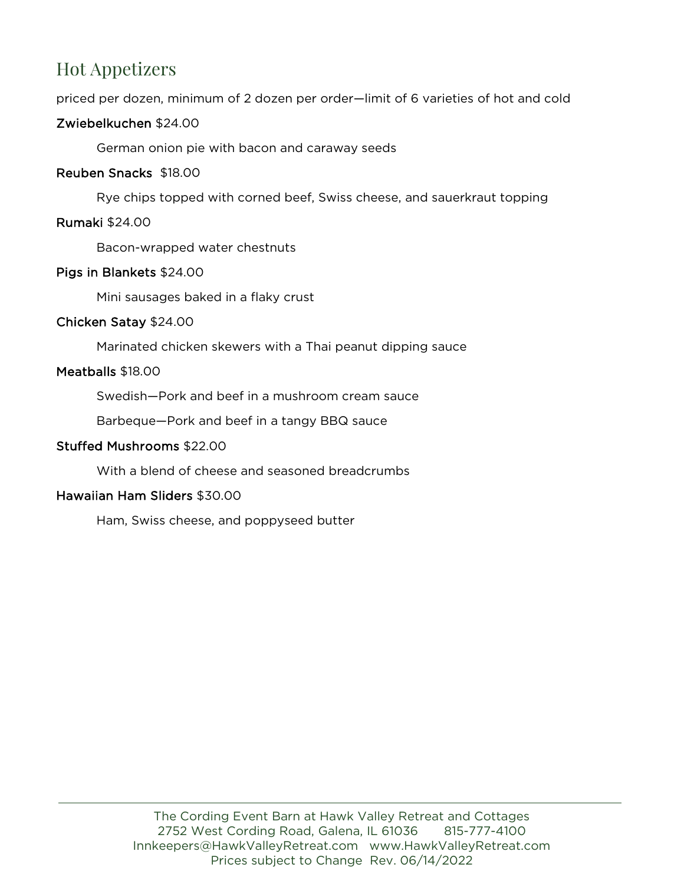## Hot Appetizers

priced per dozen, minimum of 2 dozen per order—limit of 6 varieties of hot and cold

#### Zwiebelkuchen \$24.00

German onion pie with bacon and caraway seeds

#### Reuben Snacks \$18.00

Rye chips topped with corned beef, Swiss cheese, and sauerkraut topping

#### Rumaki \$24.00

Bacon-wrapped water chestnuts

#### Pigs in Blankets \$24.00

Mini sausages baked in a flaky crust

#### Chicken Satay \$24.00

Marinated chicken skewers with a Thai peanut dipping sauce

#### Meatballs \$18.00

Swedish—Pork and beef in a mushroom cream sauce

Barbeque—Pork and beef in a tangy BBQ sauce

#### Stuffed Mushrooms \$22.00

With a blend of cheese and seasoned breadcrumbs

#### Hawaiian Ham Sliders \$30.00

Ham, Swiss cheese, and poppyseed butter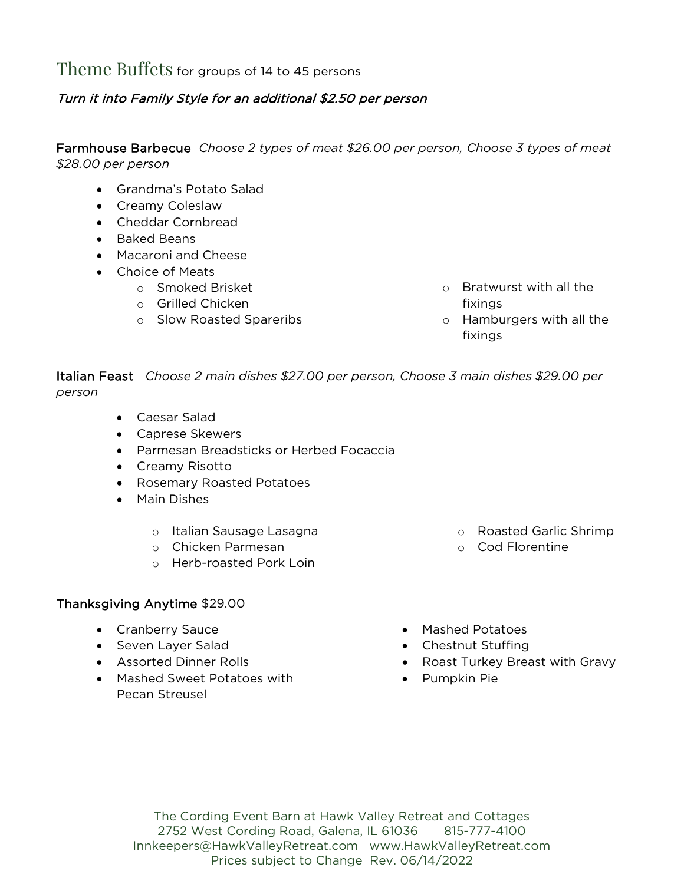Theme Buffets for groups of 14 to 45 persons

#### Turn it into Family Style for an additional \$2.50 per person

Farmhouse Barbecue *Choose 2 types of meat \$26.00 per person, Choose 3 types of meat \$28.00 per person*

- Grandma's Potato Salad
- Creamy Coleslaw
- Cheddar Cornbread
- Baked Beans
- Macaroni and Cheese
- Choice of Meats
	- o Smoked Brisket
	- o Grilled Chicken
	- o Slow Roasted Spareribs
- o Bratwurst with all the fixings
- o Hamburgers with all the fixings

Italian Feast *Choose 2 main dishes \$27.00 per person, Choose 3 main dishes \$29.00 per person*

- Caesar Salad
- Caprese Skewers
- Parmesan Breadsticks or Herbed Focaccia
- Creamy Risotto
- Rosemary Roasted Potatoes
- Main Dishes
	- o Italian Sausage Lasagna
	- o Chicken Parmesan
	- o Herb-roasted Pork Loin

#### Thanksgiving Anytime \$29.00

- Cranberry Sauce
- Seven Layer Salad
- Assorted Dinner Rolls
- Mashed Sweet Potatoes with Pecan Streusel
- o Roasted Garlic Shrimp
	- o Cod Florentine
- Mashed Potatoes
- Chestnut Stuffing
- Roast Turkey Breast with Gravy
- Pumpkin Pie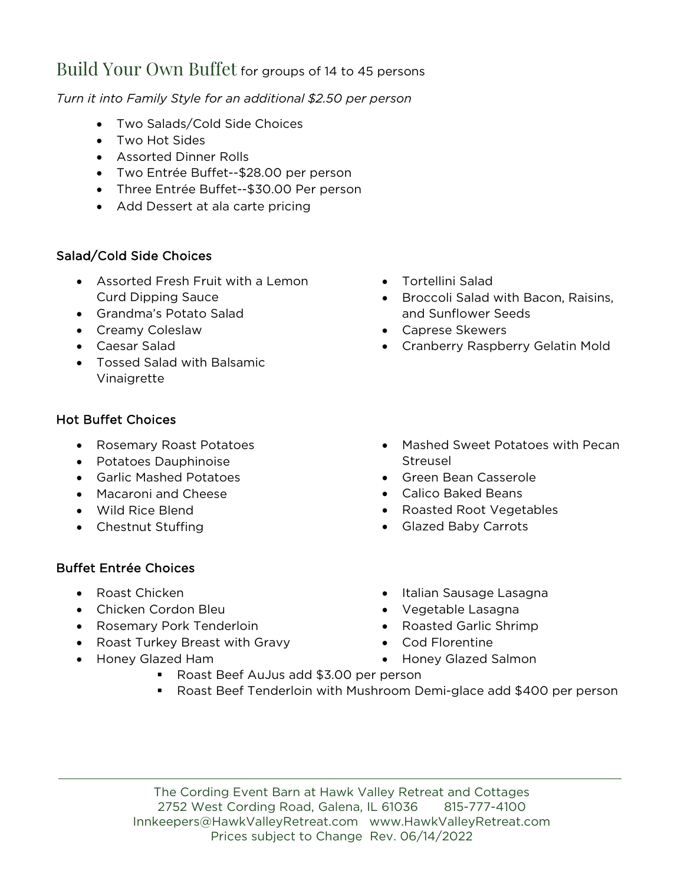## Build Your Own Buffet for groups of 14 to 45 persons

*Turn it into Family Style for an additional \$2.50 per person*

- Two Salads/Cold Side Choices
- Two Hot Sides
- Assorted Dinner Rolls
- Two Entrée Buffet--\$28.00 per person
- Three Entrée Buffet--\$30.00 Per person
- Add Dessert at ala carte pricing

#### Salad/Cold Side Choices

- Assorted Fresh Fruit with a Lemon Curd Dipping Sauce
- Grandma's Potato Salad
- Creamy Coleslaw
- Caesar Salad
- Tossed Salad with Balsamic Vinaigrette

#### Hot Buffet Choices

- Rosemary Roast Potatoes
- Potatoes Dauphinoise
- Garlic Mashed Potatoes
- Macaroni and Cheese
- Wild Rice Blend
- Chestnut Stuffing

#### Buffet Entrée Choices

- Roast Chicken
- Chicken Cordon Bleu
- Rosemary Pork Tenderloin
- Roast Turkey Breast with Gravy
- Honey Glazed Ham
- Tortellini Salad
- Broccoli Salad with Bacon, Raisins, and Sunflower Seeds
- Caprese Skewers
- Cranberry Raspberry Gelatin Mold
- Mashed Sweet Potatoes with Pecan Streusel
- Green Bean Casserole
- Calico Baked Beans
- Roasted Root Vegetables
- Glazed Baby Carrots
- Italian Sausage Lasagna
- Vegetable Lasagna
- Roasted Garlic Shrimp
- Cod Florentine
- Honey Glazed Salmon
- Roast Beef AuJus add \$3.00 per person
- Roast Beef Tenderloin with Mushroom Demi-glace add \$400 per person

The Cording Event Barn at Hawk Valley Retreat and Cottages 2752 West Cording Road, Galena, IL 61036 815-777-4100 [Innkeepers@HawkValleyRetreat.com](mailto:Innkeepers@HawkValleyRetreat.com) [www.HawkValleyRetreat.com](http://www.hawkvalleyretreat.com/) Prices subject to Change Rev. 06/14/2022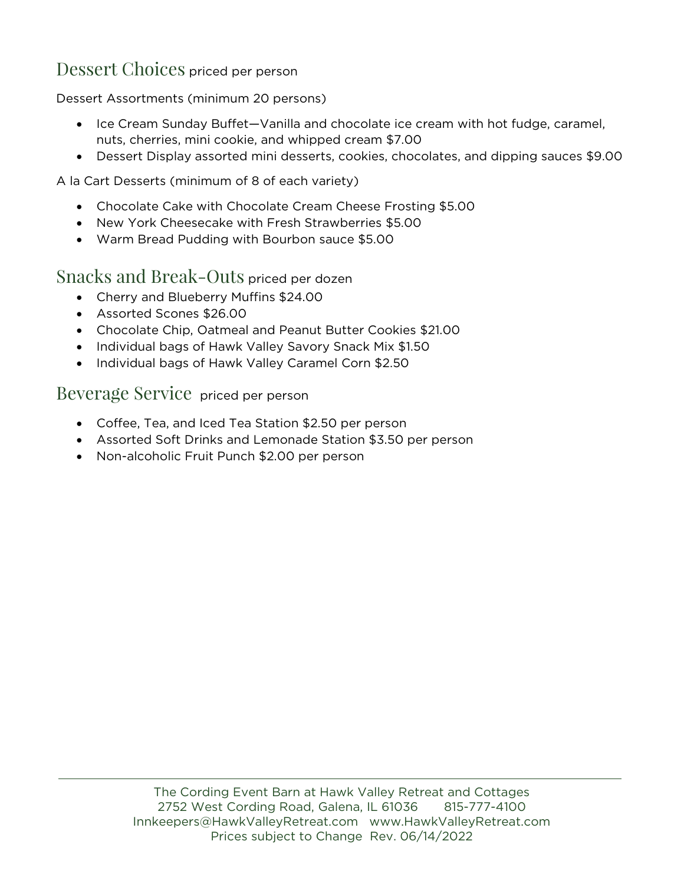## Dessert Choices priced per person

Dessert Assortments (minimum 20 persons)

- Ice Cream Sunday Buffet—Vanilla and chocolate ice cream with hot fudge, caramel, nuts, cherries, mini cookie, and whipped cream \$7.00
- Dessert Display assorted mini desserts, cookies, chocolates, and dipping sauces \$9.00

#### A la Cart Desserts (minimum of 8 of each variety)

- Chocolate Cake with Chocolate Cream Cheese Frosting \$5.00
- New York Cheesecake with Fresh Strawberries \$5.00
- Warm Bread Pudding with Bourbon sauce \$5.00

#### Snacks and Break-Outs priced per dozen

- Cherry and Blueberry Muffins \$24.00
- Assorted Scones \$26.00
- Chocolate Chip, Oatmeal and Peanut Butter Cookies \$21.00
- Individual bags of Hawk Valley Savory Snack Mix \$1.50
- Individual bags of Hawk Valley Caramel Corn \$2.50

Beverage Service priced per person

- Coffee, Tea, and Iced Tea Station \$2.50 per person
- Assorted Soft Drinks and Lemonade Station \$3.50 per person
- Non-alcoholic Fruit Punch \$2.00 per person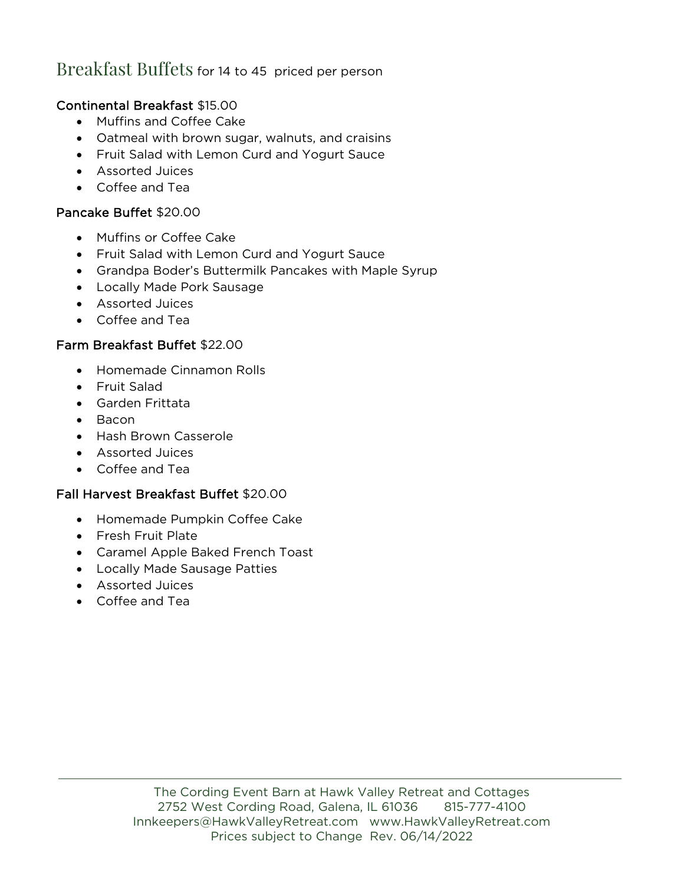## Breakfast Buffets for 14 to 45 priced per person

#### Continental Breakfast \$15.00

- Muffins and Coffee Cake
- Oatmeal with brown sugar, walnuts, and craisins
- Fruit Salad with Lemon Curd and Yogurt Sauce
- Assorted Juices
- Coffee and Tea

#### Pancake Buffet \$20.00

- Muffins or Coffee Cake
- Fruit Salad with Lemon Curd and Yogurt Sauce
- Grandpa Boder's Buttermilk Pancakes with Maple Syrup
- Locally Made Pork Sausage
- Assorted Juices
- Coffee and Tea

#### Farm Breakfast Buffet \$22.00

- Homemade Cinnamon Rolls
- Fruit Salad
- Garden Frittata
- Bacon
- Hash Brown Casserole
- Assorted Juices
- Coffee and Tea

#### Fall Harvest Breakfast Buffet \$20.00

- Homemade Pumpkin Coffee Cake
- Fresh Fruit Plate
- Caramel Apple Baked French Toast
- Locally Made Sausage Patties
- Assorted Juices
- Coffee and Tea